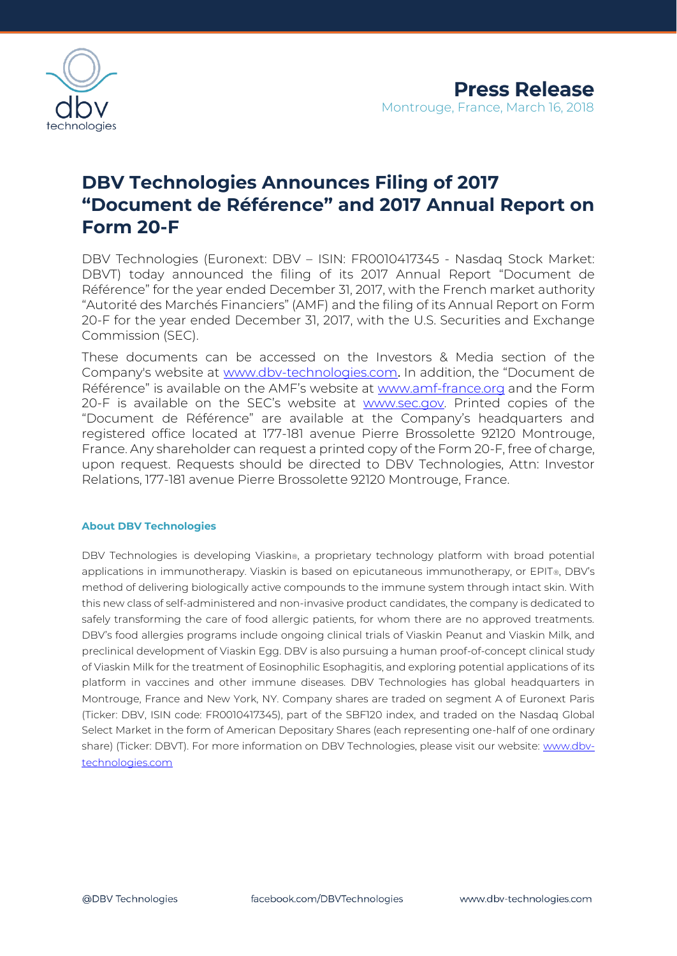

## **DBV Technologies Announces Filing of 2017 "Document de Référence" and 2017 Annual Report on Form 20-F**

DBV Technologies (Euronext: DBV – ISIN: FR0010417345 - Nasdaq Stock Market: DBVT) today announced the filing of its 2017 Annual Report "Document de Référence" for the year ended December 31, 2017, with the French market authority "Autorité des Marchés Financiers" (AMF) and the filing of its Annual Report on Form 20-F for the year ended December 31, 2017, with the U.S. Securities and Exchange Commission (SEC).

These documents can be accessed on the Investors & Media section of the Company's website at [www.dbv-technologies.com](http://www.dbv-technologies.com/). In addition, the "Document de Référence" is available on the AMF's website at [www.amf-france.org](http://www.amf-france.org/) and the Form 20-F is available on the SEC's website at [www.sec.gov.](http://www.sec.gov/) Printed copies of the "Document de Référence" are available at the Company's headquarters and registered office located at 177-181 avenue Pierre Brossolette 92120 Montrouge, France. Any shareholder can request a printed copy of the Form 20-F, free of charge, upon request. Requests should be directed to DBV Technologies, Attn: Investor Relations, 177-181 avenue Pierre Brossolette 92120 Montrouge, France.

## **About DBV Technologies**

DBV Technologies is developing Viaskin®, a proprietary technology platform with broad potential applications in immunotherapy. Viaskin is based on epicutaneous immunotherapy, or EPIT®, DBV's method of delivering biologically active compounds to the immune system through intact skin. With this new class of self-administered and non-invasive product candidates, the company is dedicated to safely transforming the care of food allergic patients, for whom there are no approved treatments. DBV's food allergies programs include ongoing clinical trials of Viaskin Peanut and Viaskin Milk, and preclinical development of Viaskin Egg. DBV is also pursuing a human proof-of-concept clinical study of Viaskin Milk for the treatment of Eosinophilic Esophagitis, and exploring potential applications of its platform in vaccines and other immune diseases. DBV Technologies has global headquarters in Montrouge, France and New York, NY. Company shares are traded on segment A of Euronext Paris (Ticker: DBV, ISIN code: FR0010417345), part of the SBF120 index, and traded on the Nasdaq Global Select Market in the form of American Depositary Shares (each representing one-half of one ordinary share) (Ticker: DBVT). For more information on DBV Technologies, please visit our website: www.dbvtechnologies.com